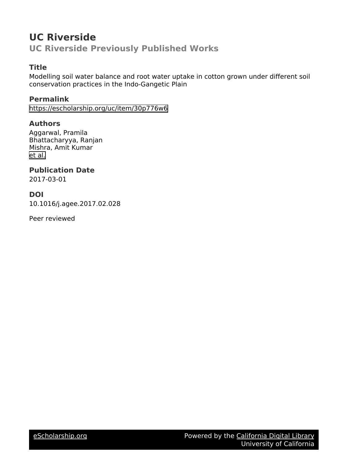# **UC Riverside UC Riverside Previously Published Works**

# **Title**

Modelling soil water balance and root water uptake in cotton grown under different soil conservation practices in the Indo-Gangetic Plain

# **Permalink**

<https://escholarship.org/uc/item/30p776w6>

# **Authors**

Aggarwal, Pramila Bhattacharyya, Ranjan Mishra, Amit Kumar [et al.](https://escholarship.org/uc/item/30p776w6#author)

# **Publication Date**

2017-03-01

# **DOI**

10.1016/j.agee.2017.02.028

Peer reviewed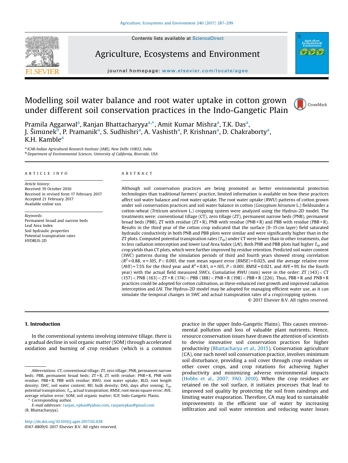Contents lists available at [ScienceDirect](http://www.sciencedirect.com/science/journal/01678809)



Agriculture, Ecosystems and Environment



journal homepage: <www.elsevier.com/locate/agee>

# Modelling soil water balance and root water uptake in cotton grown under different soil conservation practices in the Indo-Gangetic Plain



Pramila Aggarwal<sup>a</sup>, Ranjan Bhattacharyya<sup>a,</sup>\*, Amit Kumar Mishra<sup>a</sup>, T.K. Das<sup>a</sup>, J. Šimûnek $\bar{\mathbb{F}}$ , P. Pramanik<sup>a</sup>, S. Sudhishri<sup>a</sup>, A. Vashisth<sup>a</sup>, P. Krishnan<sup>a</sup>, D. Chakraborty<sup>a</sup>, K.H. Kamble<sup>a</sup>

a *ICAR-Indian Agricultural Research Institute (IARI), New Delhi 110012, India* b *Department of Environmental Sciences, University of California, Riverside, USA*

#### A R T I C L E I N F O

*Article history:* Received 19 October 2016 Received in revised form 17 February 2017 Accepted 21 February 2017 Available online xxx

*Keywords:* Permanent broad and narrow beds Leaf Area Index Soil hydraulic properties Potential transpiration rates HYDRUS-2D

### A B S T R A C T

Although soil conservation practices are being promoted as better environmental protection technologies than traditional farmers' practice, limited information is available on how these practices affect soil water balance and root water uptake. The root water uptake (*RWU*) patterns of cotton grown under soil conservation practices and soil water balance in cotton (*Gossypium hirsutum* L.) fieldsunder a cotton-wheat (*Triticum aestivum* L.) cropping system were analyzed using the Hydrus-2D model. The treatments were: conventional tillage (CT), zero tillage (ZT), permanent narrow beds (PNB), permanent broad beds (PBB), ZT with residue  $(ZT + R)$ , PNB with residue (PNB + R) and PBB with residue (PBB + R). Results in the third year of the cotton crop indicated that the surface (0–15 cm layer) field saturated hydraulic conductivity in both PNB and PBB plots were similar and were significantly higher than in the ZT plots. Computed potential transpiration rates (*Trp*) under CT were lower than in other treatments, due to less radiation interception and lower Leaf Area Index (*LAI*). Both PNB and PBB plots had higher *Trp* and crop yields than CT plots, which were further improved by residue retention. Predicted soil water content (*SWC*) patterns during the simulation periods of third and fourth years showed strong correlation  $(R<sup>2</sup>=0.88, n=105, P<0.001$ , the root mean square error (*RMSE*) = 0.025, and the average relative error  $(AVE) = 7.5\%$  for the third year and  $R^2 = 0.81$ ,  $n = 105$ ,  $P < 0.001$ ,  $RMSE = 0.021$ , and  $AVE = 9\%$  for the fourth year) with the actual field measured *SWC*s. Cumulative *RWU* (mm) were in the order: ZT (143) < CT  $(157)$  < PNB  $(163)$  < ZT + R  $(174)$  < PBB  $(188)$  < PNB + R  $(198)$  < PBB + R  $(226)$ . Thus, PBB + R and PNB + R practices could be adopted for cotton cultivation, as these enhanced root growth and improved radiation interception and *LAI*. The Hydrus-2D model may be adopted for managing efficient water use, as it can simulate the temporal changes in *SWC* and actual transpiration rates of a crop/cropping system.

© 2017 Elsevier B.V. All rights reserved.

#### 1. Introduction

In the conventional systems involving intensive tillage, there is a gradual decline in soil organic matter (SOM) through accelerated oxidation and burning of crop residues (which is a common

<http://dx.doi.org/10.1016/j.agee.2017.02.028> 0167-8809/© 2017 Elsevier B.V. All rights reserved. practice in the upper Indo-Gangetic Plains). This causes environmental pollution and loss of valuable plant nutrients. Hence, resource conservation issues have drawn the attention of scientists to devise innovative soil conservation practices for higher productivity [\(Bhattacharya](#page-12-0) et al., 2015). Conservation agriculture (CA), one such novel soil conservation practice, involves minimum soil disturbance, providing a soil cover through crop residues or other cover crops, and crop rotations for achieving higher productivity and minimizing adverse environmental impacts ([Hobbs](#page-13-0) et al., 2007; FAO, 2010). When the crop residues are retained on the soil surface, it initiates processes that lead to improved soil quality by protecting the soil from raindrops and limiting water evaporation. Therefore, CA may lead to sustainable improvements in the efficient use of water by increasing infiltration and soil water retention and reducing water losses

*Abbreviations:* CT, conventional tillage; ZT, zero tillage; PNB, permanent narrow beds; PBB, permanent broad beds; ZT + R, ZT with residue; PNB + R, PNB with residue; PBB + R, PBB with residue; *RWU*, root water uptake; RLD, root length density; *SWC*, soil water content; BD, bulk density; DAS, days after sowing; *Trp*, potential transpiration; *Tra*, actual transpiration; *RMSE*, root mean square error; *AVE*, average relative error; SOM, soil organic matter; IGP, Indo-Gangetic Plains.

Corresponding author.

*E-mail addresses:* [ranjan\\_vpkas@yahoo.com,](mailto:ranjan_vpkas@yahoo.com) [ranjanvpkas@gmail.com](mailto:ranjanvpkas@gmail.com) (R. Bhattacharyya).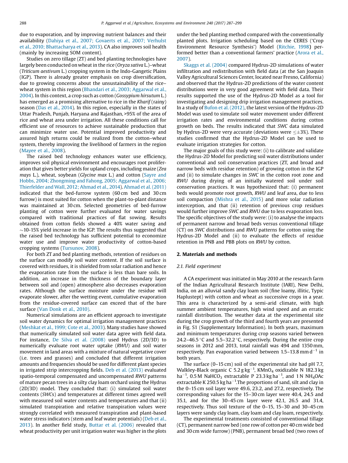due to evaporation, and by improving nutrient balances and their availability (Dahiya et al., 2007; [Govaerts](#page-13-0) et al., 2007; Verhulst et al., 2010; [Bhattacharya](#page-13-0) et al., 2013). CA also improves soil health (mainly by increasing SOM content).

Studies on zero tillage (ZT) and bed planting technologies have largely been conducted on wheatin the rice (*Oryza sativa* L.)–wheat (*Triticum aestivum* L.) cropping system in the Indo-Gangetic Plains (IGP). There is already greater emphasis on crop diversification, due to growing concerns about the unsustainability of the rice– wheat system in this region (Bhandari et al., 2003; [Aggarwal](#page-12-0) et al., [2004](#page-12-0)). In this context, a crop such as cotton (*Gossypium hirsutum* L.) has emerged as a promising alternative to rice in the *Kharif* (rainy) season (Das et al., [2014](#page-13-0)). In this region, especially in the states of Uttar Pradesh, Punjab, Haryana and Rajasthan, >95% of the area of rice and wheat area under irrigation. All these conditions call for efficient use of resources to achieve sustainable production that can minimize water use. Potential improved productivity and assured high returns could be realized from the cotton–wheat system, thereby improving the livelihood of farmers in the region ([Mayee](#page-13-0) et al., 2008).

The raised bed technology enhances water use efficiency, improves soil physical environment and encourages root proliferation that gives better yields for upland crops, including maize (*Zea mays* L.), wheat, soybean (*Glycine max* L.) and cotton ([Sayre](#page-13-0) and Hobbs, 2004; [Zhongming](#page-13-0) and Fahong, 2005; Aggarwal et al., 2006; [Thierfelder](#page-13-0) and Wall, 2012; Ahmad et al., 2014). [Ahmad](#page-12-0) et al. (2011) indicated that the bed-furrow system (60 cm bed and 30 cm furrow) is most suited for cotton when the plant-to-plant distance was maintained at 30 cm. Selected geometries of bed-furrow planting of cotton were further evaluated for water savings compared with traditional practices of flat sowing. Results obtained from cotton fields showed a 40% water saving and  $\sim$ 10-15% yield increase in the IGP. The results thus suggested that the raised bed technology has sufficient potential to economize water use and improve water productivity of cotton-based cropping systems ([Tursunov,](#page-13-0) 2008).

For both ZT and bed planting methods, retention of residues on the surface can modify soil water content. If the soil surface is covered with residues, it is shielded from solar radiation and hence the evaporation rate from the surface is less than bare soils. In addition, an increase in the thickness of the boundary layer between soil and (open) atmosphere also decreases evaporation rates. Although the surface moisture under the residue will evaporate slower, after the wetting event, cumulative evaporation from the residue-covered surface can exceed that of the bare surface (Van Donk et al., [2010\).](#page-13-0)

Numerical simulations are an efficient approach to investigate soil water dynamics for optimal irrigation management practices ([Meshkat](#page-13-0) et al., 1999; Cote et al., 2003). Many studies have showed that numerically simulated soil water data agree with field data. For instance, De Silva et al. [\(2008\)](#page-13-0) used Hydrus (2D/3D) to numerically evaluate root water uptake (*RWU*) and soil water movement in land areas with a mixture of natural vegetative cover (i.e. trees and grasses) and concluded that different irrigation amounts and frequencies should be used for different plant species in irrigated strip intercropping fields. Deb et al. [\(2013\)](#page-13-0) evaluated spatio-temporal compensated and uncompensated *RWU* patterns of mature pecan trees in a silty clay loam orchard using the Hydrus (2D/3D) model. They concluded that: (i) simulated soil water contents (*SWC*s) and temperatures at different times agreed well with measured soil water contents and temperatures and that (ii) simulated transpiration and relative transpiration values were strongly correlated with measured transpiration and plant-based water stress indicators (stem and leaf water potentials) ([Deb](#page-13-0) et al., [2013](#page-13-0)). In another field study, Buttar et al. [\(2006\)](#page-13-0) revealed that wheat productivity per unit irrigation water was higher in the plots under the bed planting method compared with the conventionally planted plots. Irrigation scheduling based on the CERES ('Crop Environment Resource Synthesis') Model [\(Ritchie,](#page-13-0) 1998) performed better than a conventional farmers' practice [\(Arora](#page-12-0) et al., [2007](#page-12-0)).

[Skaggs](#page-13-0) et al. (2004) compared Hydrus-2D simulations of water infiltration and redistribution with field data (at the San Joaquin Valley Agricultural Sciences Center, located near Fresno, California) and observed that the Hydrus-2D predictions of the water content distributions were in very good agreement with field data. Their results supported the use of the Hydrus-2D Model as a tool for investigating and designing drip irrigation management practices. In a study of Bufon et al. [\(2012\)](#page-13-0), the latest version of the Hydrus-2D Model was used to simulate soil water movement under different irrigation rates and environmental conditions during cotton growth on beds. The results indicated that *SWC* data simulated by Hydrus-2D were very accurate (deviations were  $\leq \pm 3\%$ ). These studies confirmed that the Hydrus-2D Model can be used to evaluate irrigation strategies for cotton.

The major goals of this study were: (i) to calibrate and validate the Hydrus-2D Model for predicting soil water distributions under conventional and soil conservation practices (ZT, and broad and narrow beds with residue retention) of growing cotton in the IGP and (ii) to simulate changes in *SWC* in the cotton root zone and *RWU* during drying of an initially watered soil under soil conservation practices. It was hypothesized that: (i) permanent beds would promote root growth, *RWU* and leaf area, due to less soil compaction ([Mishra](#page-13-0) et al., 2015) and more solar radiation interception, and that (ii) retention of previous crop residues would further improve *SWC* and *RWU* due to less evaporation loss. The specific objectives of the study were: (i) to analyse the impacts of permanent narrow and broad beds versus conventional tillage (CT) on *SWC* distributions and *RWU* patterns for cotton using the Hydrus-2D Model and (ii) to evaluate the effects of residue retention in PNB and PBB plots on *RWU* by cotton.

#### 2. Materials and methods

#### *2.1. Field experiment*

A CA experiment was initiated in May 2010 at the research farm of the Indian Agricultural Research Institute (IARI), New Delhi, India, on an alluvial sandy clay loam soil (fine loamy, illitic, Typic Haplustept) with cotton and wheat as successive crops in a year. This area is characterized by a semi-arid climate, with high summer ambient temperatures, high wind speed and an erratic rainfall distribution. The weather data at the experimental site during the crop growth of the third and fourth years are presented in Fig. S1 (Supplementary Information). In both years, maximum and minimum temperatures during crop seasons varied between 24.2–46.5 °C and 5.5–32.2 °C, respectively. During the entire crop seasons in 2012 and 2013, total rainfall was 494 and 1350mm, respectively. Pan evaporation varied between 1.5–13.8 mm d $^{-1}$  in both years.

The surface (0–15 cm) soil of the experimental site had pH 7.7, Walkley-Black organic C 5.2 g  $kg^{-1}$ , KMnO<sub>4</sub> oxidizable N 182.3 kg ha<sup>-1</sup>, 0.5 M NaHCO<sub>3</sub> extractable P 23.3 kg ha<sup>-1</sup>, and 1 N NH<sub>4</sub>OAc extractable K 250.5 kg ha $^{-1}$ . The proportions of sand, silt and clay in the 0–15 cm soil layer were 49.6, 23.2, and 27.2, respectively. The corresponding values for the 15–30 cm layer were 40.4, 24.5 and 35.1, and for the 30–45 cm layer were 42.1, 26.5 and 31.4, respectively. Thus soil texture of the 0–15, 15–30 and 30–45 cm layers were sandy clay loam, clay loam and clay loam, respectively.

The experimental treatments consisted of conventional tillage (CT), permanent narrow bed (one row of cotton per 40 cm wide bed and 30 cm wide furrow) (PNB), permanent broad bed (two rows of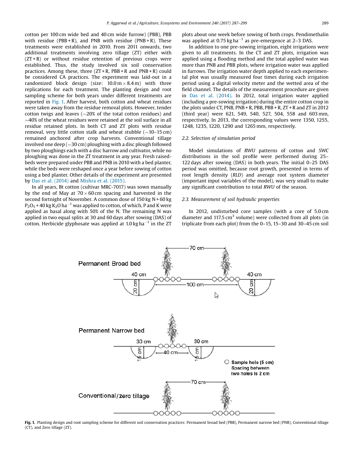<span id="page-3-0"></span>cotton per 100 cm wide bed and 40 cm wide furrow) (PBB), PBB with residue ( $PBB + R$ ), and PNB with residue ( $PNB + R$ ). These treatments were established in 2010. From 2011 onwards, two additional treatments involving zero tillage (ZT) either with  $(ZT + R)$  or without residue retention of previous crops were established. Thus, the study involved six soil conservation practices. Among these, three (ZT + R, PBB + R and PNB + R) could be considered CA practices. The experiment was laid-out in a randomized block design (size:  $10.0 \text{ m} \times 8.4 \text{ m}$ ) with three replications for each treatment. The planting design and root sampling scheme for both years under different treatments are reported in Fig. 1. After harvest, both cotton and wheat residues were taken away from the residue removal plots. However, tender cotton twigs and leaves ( $\sim$ 20% of the total cotton residues) and  $\sim$ 40% of the wheat residues were retained at the soil surface in all residue retained plots. In both CT and ZT plots with residue removal, very little cotton stalk and wheat stubble  $(\sim 10-15 \text{ cm})$ remained anchored after crop harvests. Conventional tillage involved one deep ( $\sim$ 30 cm) ploughing with a disc plough followed by two ploughings each with a disc harrow and cultivator, while no ploughing was done in the ZT treatment in any year. Fresh raisedbeds were prepared under PBB and PNB in 2010 with a bed planter, while the beds were reshaped once a year before sowing of cotton using a bed planter. Other details of the experiment are presented by Das et al. [\(2014\)](#page-13-0) and [Mishra](#page-13-0) et al. (2015).

In all years, Bt cotton (cultivar MRC-7017) was sown manually by the end of May at  $70 \times 60$  cm spacing and harvested in the second fortnight of November. A common dose of 150 kg N + 60 kg  $P_2O_5$  + 40 kg K<sub>2</sub>O ha<sup>-1</sup> was applied to cotton, of which, P and K were applied as basal along with 50% of the N. The remaining N was applied in two equal splits at 30 and 60 days after sowing (DAS) of cotton. Herbicide glyphosate was applied at 1.0 kg ha $^{-1}$  in the ZT

plots about one week before sowing of both crops. Pendimethalin was applied at 0.75 kg ha $^{-1}$  as pre-emergence at 2–3 DAS.

In addition to one pre-sowing irrigation, eight irrigations were given to all treatments. In the CT and ZT plots, irrigation was applied using a flooding method and the total applied water was more than PNB and PBB plots, where irrigation water was applied in furrows. The irrigation water depth applied to each experimental plot was usually measured four times during each irrigation period using a digital velocity meter and the wetted area of the field channel. The details of the measurement procedure are given in Das et al. [\(2014\).](#page-13-0) In 2012, total irrigation water applied (including a pre-sowing irrigation) during the entire cotton crop in the plots under CT, PNB, PNB + R, PBB, PBB + R, ZT + R and ZT in 2012 (third year) were 621, 549, 540, 527, 504, 558 and 603 mm, respectively. In 2013, the corresponding values were 1350, 1255, 1248, 1235, 1220, 1290 and 1265 mm, respectively.

#### *2.2. Selection of simulation period*

Model simulations of *RWU* patterns of cotton and *SWC* distributions in the soil profile were performed during 25– 122 days after sowing (DAS) in both years. The initial 0–25 DAS period was omitted, because root growth, presented in terms of root length density (*RLD*) and average root system diameter (important input variables of the model), was very small to make any significant contribution to total *RWU* of the season.

### *2.3. Measurement of soil hydraulic properties*

In 2012, undisturbed core samples (with a core of 5.0 cm diameter and 117.5  $cm<sup>3</sup>$  volume) were collected from all plots (in triplicate from each plot) from the 0–15, 15–30 and 30–45 cm soil



Fig. 1. Planting design and root sampling scheme for different soil conservation practices: Permanent broad bed (PBB), Permanent narrow bed (PNB), Conventional tillage (CT), and Zero tillage (ZT).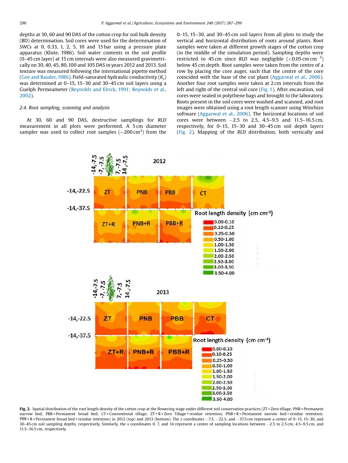<span id="page-4-0"></span>depths at 30, 60 and 90 DAS of the cotton crop for soil bulk density (BD) determination. Soil cores were used for the determination of *SWC*s at 0, 0.33, 1, 2, 5, 10 and 15 bar using a pressure plate apparatus (Klute, 1986). Soil water contents in the soil profile (0–45 cm layer) at 15 cm intervals were also measured gravimetrically on 30, 40, 45, 80,100 and 105 DAS in years 2012 and 2013. Soil texture was measured following the international pipette method (Gee and [Bauder,1986](#page-13-0)). Field-saturated hydraulic conductivity (*Ks*) was determined at 0–15, 15–30 and 30–45 cm soil layers using a Guelph Permeameter (Reynolds and Elrick, 1991; [Reynolds](#page-13-0) et al., [2002](#page-13-0)).

## *2.4. Root sampling, scanning and analysis*

At 30, 60 and 90 DAS, destructive samplings for *RLD* measurement in all plots were performed. A 5 cm diameter sampler was used to collect root samples ( $\sim$ 200 cm<sup>3</sup>) from the

0–15, 15–30, and 30–45 cm soil layers from all plots to study the vertical and horizontal distribution of roots around plants. Root samples were taken at different growth stages of the cotton crop (in the middle of the simulation period). Sampling depths were restricted to 45 cm since RLD was negligible  $(<0.05$  cm cm<sup>-3</sup>) below 45 cm depth. Root samples were taken from the centre of a row by placing the core auger, such that the centre of the core coincided with the base of the cut plant ([Aggarwal](#page-12-0) et al., 2006). Another four root samples were taken at 2 cm intervals from the left and right of the central soil core ([Fig.](#page-3-0) 1). After excavation, soil cores were sealed in polythene bags and brought to the laboratory. Roots present in the soil cores were washed and scanned, and root images were obtained using a root length scanner using Winrhizo software [\(Aggarwal](#page-12-0) et al., 2006). The horizontal locations of soil cores were between  $-2.5$  to 2.5, 4.5-9.5 and 11.5-16.5 cm, respectively, for 0–15, 15–30 and 30–45 cm soil depth layers (Fig. 2). Mapping of the *RLD* distribution, both vertically and



Fig. 2. Spatial distribution of the root length density of the cotton crop at the flowering stage under different soil conservation practices (ZT = Zero tillage; PNB = Permanent narrow bed; PBB = Permanent broad bed; CT = Conventional tillage; ZT + R = Zero Tillage + residue retention; PNB + R = Permanent narrow bed + residue retention; PBB + R = Permanent broad bed + residue retention) in 2012 (top) and 2013 (bottom). The *z* coordinates -7.5, -22.5, and -37.5 cm represent a center of 0-15, 15-30, and 30-45 cm soil sampling depths, respectively. Similarly, the *x* coordinates 0, 7, and 14 represent a center of sampling locations between -2.5 to 2.5 cm, 4.5-9.5 cm, and 11.5–16.5 cm, respectively.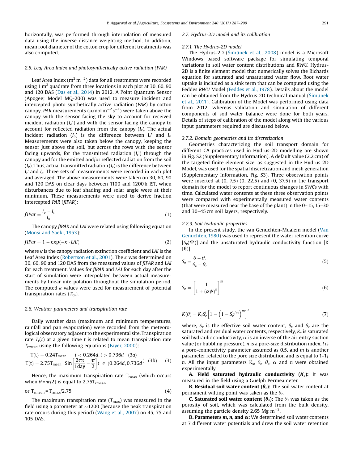<span id="page-5-0"></span>horizontally, was performed through interpolation of measured data using the inverse distance weighting method. In addition, mean root diameter of the cotton crop for different treatments was also computed.

#### *2.5. Leaf Area Index and photosynthetically active radiation (PAR)*

Leaf Area Index (m $^{2}$  m $^{-2})$  data for all treatments were recorded using 1 m<sup>2</sup> quadrate from three locations in each plot at 30, 60, 90 and 120 DAS (Das et al., [2014\)](#page-13-0) in 2012. A Point Quantum Sensor (Apogee; Model MQ-200) was used to measure incident and intercepted photo synthetically active radiation (*PAR*) by cotton canopy. *PAR* measurements ( $\mu$ mol m $^{-2}$  s $^{-1}$ ) were taken above the canopy with the sensor facing the sky to account for received incident radiation (*Io*') and with the sensor facing the canopy to account for reflected radiation from the canopy  $(I_r)$ . The actual incident radiation (*Io*) is the difference between *Io*' and *I<sup>r</sup>* . Measurements were also taken below the canopy, keeping the sensor just above the soil, but across the rows with the sensor facing upwards, for the transmitted radiation (*I<sup>t</sup>* ') through the canopy and for the emitted and/or reflected radiation from the soil (*Ie*). Thus, actual transmitted radiation (*It*) is the difference between *It* ' and *I<sup>e</sup>* . Three sets of measurements were recorded in each plot and averaged. The above measurements were taken on 30, 60, 90 and 120 DAS on clear days between 1100 and 1200 h IST, when disturbances due to leaf shading and solar angle were at their minimum. These measurements were used to derive fraction intercepted *PAR* (*fIPAR*):

$$
fIPar = \frac{I_o - I_t}{I_o} \tag{1}
$$

The canopy *fIPAR* and *LAI* were related using following equation ([Monsi](#page-13-0) and Saeki, 1953):

$$
fIPar = 1 - \exp(-\kappa \cdot LAI) \tag{2}
$$

where  $\kappa$  is the canopy radiation extinction coefficient and *LAI* is the Leaf Area Index ([Robertson](#page-13-0) et al., 2001). The  $\kappa$  was determined on 30, 60, 90 and 120 DAS from the measured values of *fIPAR* and *LAI* for each treatment. Values for *fIPAR* and *LAI* for each day after the start of simulation were interpolated between actual measurements by linear interpolation throughout the simulation period. The computed  $\kappa$  values were used for measurement of potential transpiration rates (*Trp*).

#### *2.6. Weather parameters and transpiration rate*

Daily weather data (maximum and minimum temperatures, rainfall and pan evaporation) were recorded from the meteorological observatory adjacent to the experimental site. Transpiration rate  $T_r(t)$  at a given time *t* is related to mean transpiration rate *Trmean* using the following equations ([Fayer,](#page-13-0) 2000):

$$
T(t) = 0.24T_{mean} \t t < 0.264d, t > 0.736d \t (3a)
$$
  

$$
T(t) = 2.75T_{mean} \sin \left[ \frac{2\pi t}{1 \text{day}} - \frac{\pi}{2} \right] t \in (0.264d, 0.736d) \t (3b) \t (3)
$$

Hence, the maximum transpiration rate  $T_{\rm rmax}$  (which occurs when  $\theta = \pi/2$ ) is equal to 2.75T<sub>rmean</sub>

$$
or Trmean = Trmax/2.75
$$
 (4)

The maximum transpiration rate  $(T_{\text{max}})$  was measured in the field using a porometer at  $\sim$ 1200 (because the peak transpiration rate occurs during this period) ([Wang](#page-13-0) et al., 2007) on 45, 75 and 105 DAS.

#### *2.7. Hydrus-2D model and its calibration*

#### *2.7.1. The Hydrus-2D model*

The Hydrus-2D (Šimůnek et al., [2008](#page-13-0)) model is a Microsoft Windows based software package for simulating temporal variations in soil water content distributions and *RWU*. Hydrus-2D is a finite element model that numerically solves the Richards equation for saturated and unsaturated water flow. Root water uptake is included as a sink term that can be computed using the Feddes *RWU* Model ([Feddes](#page-13-0) et al., 1978). Details about the model can be obtained from the Hydrus-2D technical manual (Šimůnek et al., [2011](#page-13-0)). Calibration of the Model was performed using data from 2012, whereas validation and simulation of different components of soil water balance were done for both years. Details of steps of calibration of the model along with the various input parameters required are discussed below.

#### *2.7.2. Domain geometries and its discretization*

Geometries characterizing the soil transport domain for different CA practices used in Hydrus-2D modelling are shown in Fig. S2 (Supplementary Information). A default value (2.2 cm) of the targeted finite element size, as suggested in the Hydrus-2D Model, was used for the spatial discretization and mesh generation (Supplementary Information, Fig. S3). Three observation points were inserted at (0, 7.5) (0, 22.5) and (0, 37.5) in the transport domain for the model to report continuous changes in *SWC*s with time. Calculated water contents at these three observation points were compared with experimentally measured water contents (that were measured near the base of the plant) in the 0–15, 15–30 and 30–45 cm soil layers, respectively.

#### *2.7.3. Soil hydraulic properties*

In the present study, the van Genuchten-Mualem model ([Van](#page-13-0) [Genuchten,](#page-13-0) 1980) was used to represent the water retention curve  $[S_e(\Psi)]$  and the unsaturated hydraulic conductivity function [K]  $(\theta)$ :

$$
S_e = \frac{\theta - \theta_r}{\theta_s - \theta_r} \tag{5}
$$

$$
S_e = \left[\frac{1}{1 + (\alpha \psi)^n}\right]^m \tag{6}
$$

$$
K(\theta) = K_{s} S_{e}^{l} \left[ 1 - \left( 1 - S_{e}^{1/m} \right)^{m} \right]^{2}
$$
 (7)

where,  $S_e$  is the effective soil water content,  $\theta_s$  and  $\theta_r$  are the saturated and residual water contents, respectively, *K<sup>s</sup>* is saturated soil hydraulic conductivity,  $\alpha$  is an inverse of the air-entry suction value (or bubbling pressure), *n* is a pore-size distribution index, *l* is a pore-connectivity parameter assumed as 0.5, and *m* is another parameter related to the pore size distribution and is equal to 1-1/ *n*. All the input parameters  $K_s$ ,  $\theta_n$ ,  $\theta_s$ ,  $\alpha$  and *n* were obtained experimentally.

A. Field saturated hydraulic conductivity  $(K_s)$ : It was measured in the field using a Guelph Permeameter.

**B. Residual soil water content (** $\theta_r$ **):** The soil water content at permanent wilting point was taken as the  $\theta_r$ 

**C. Saturated soil water content (** $\theta_s$ **):** The  $\theta_s$  was taken as the porosity of soil, which was calculated from the bulk density, assuming the particle density 2.65 Mg  $m^{-3}$ .

**D. Parameters**  $m$ **,**  $n$ **, and**  $\alpha$ **:** We determined soil water contents at 7 different water potentials and drew the soil water retention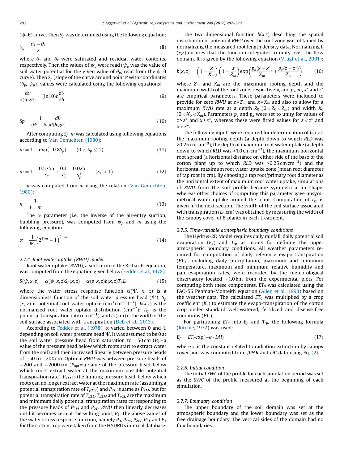$(\psi-\theta)$  curve. Then  $\theta_p$  was determined using the following equation:

$$
\theta_p = \frac{\theta_s + \theta_r}{2} \tag{8}
$$

where  $\theta_s$  and  $\theta_r$  were saturated and residual water contents, respectively. Then the values of  $\psi_p$  were read ( $\psi_p$  was the value of soil water potential for the given value of  $\theta_p$ , read from the  $\psi$ - $\theta$ curve). Then *S<sup>p</sup>* (slope of the curve around point P with coordinates  $(\theta_p, \psi_p)$ ) values were calculated using the following equations:

$$
\frac{d\theta}{d(logh)} = (\ln 10)h \frac{d\theta}{dh}
$$
\n(9)

$$
Sp = \frac{1}{(\theta s - \theta r)d(\log h)}
$$
\n(10)

After computing *Sp*, *m* was calculated using following equations according to Van [Genuchten](#page-13-0) (1980):

$$
m = 1 - \exp(-0.8S_p) \qquad (0 < S_p \le 1) \tag{11}
$$

$$
m = 1 - \frac{0.5755}{S_p} + \frac{0.1}{S_p^2} + \frac{0.025}{S_p^3} \qquad (S_p > 1)
$$
 (12)

*n* was computed from *m* using the relation (Van [Genuchten,](#page-13-0) [1980](#page-13-0)):

$$
n = \frac{1}{1 - m} \tag{13}
$$

The  $\alpha$  parameter (i.e. the inverse of the air-entry suction, bubbling pressure), was computed from  $\psi_p$  and *m* using the following equation:

$$
\alpha = \frac{1}{\psi_p} \left( 2^{1/m} - 1 \right)^{1-m} \tag{14}
$$

*2.7.4. Root water uptake (RWU) model*

Root water uptake (*RWU*), a sink term in the Richards equation, was computed from the equation given below (Feddes et [al.,1978\)](#page-13-0):

$$
S(\psi, x, z) = \alpha(\psi, x, z)S_p(x, z) = \alpha(p, x, z)b(x, z)T_pL_t
$$
\n(15)

where the water stress response function  $\alpha(\Psi, x, z)$  is a dimensionless function of the soil water pressure head ( $\Psi$ );  $S_p$  $(x, z)$  is potential root water uptake  $(cm<sup>3</sup> cm<sup>-3</sup>d<sup>-1</sup>)$ ;  $b(x,z)$  is the normalized root water uptake distribution (cm<sup>-2</sup>);  $T_{rp}$  is the potential transpiration rate (cm  $\mathsf{d}^{-1}$ ); and  $L_t$  (cm) is the width of the soil surface associated with transpiration (Deb et al., [2013](#page-13-0)).

According to [Feddes](#page-13-0) et al. (1978),  $\alpha$  varied between 0 and 1, depending on soil water pressure head  $\Psi$ . It was assumed to be 0 at the soil water pressure head from saturation to  $-50 \text{ cm}$  ( $P_0$  = a value of the pressure head below which roots start to extract water from the soil) and then increased linearly between pressure heads of 50 to 200 cm. Optimal *RWU* was between pressure heads of  $-200$  and  $-2000$  cm ( $P_{opt}$  = a value of the pressure head below which roots extract water at the maximum possible potential transpiration rate).  $P_{2H}$  is the limiting pressure head, below which roots can no longer extract water at the maximum rate (assuming a potential transpiration rate of *Tp*2*H*) and *P*2*L* is same as *P*2*H*, but for potential transpiration rate of  $T_{p2L}$ .  $T_{p2H}$  and  $T_{p2L}$  are the maximum and minimum daily potential transpiration rates corresponding to the pressure heads of *P*2*H* and *P*2*L* . *RWU* then linearly decreases until it becomes zero at the wilting point,  $P_3$ . The above values of the water stress response function, namely *P*0, *Popt*, *P*2*H*, *P*2*L* and *P*<sup>3</sup> for the cotton crop were taken from the HYDRUS internal database.

The two-dimensional function  $b(x,z)$  describing the spatial distribution of potential *RWU* over the root zone was obtained by normalizing the measured root length density data. Normalizing *b* (*x*,*z*) ensures that the function integrates to unity over the flow domain. It is given by the following equation [\(Vrugt](#page-13-0) et al., 2001):

$$
b(x,z) = \left(1 - \frac{x}{X_m}\right)\left(1 - \frac{z}{Z_m}\right) \exp\left(\frac{p_x(x - x^*)}{X_m} + \frac{p_z(z - z^*)}{Z_m}\right) \tag{16}
$$

where  $Z_m$  and  $X_m$  are the maximum rooting depth and the maximum width of the root zone, respectively, and *p<sup>x</sup>* , *p<sup>z</sup>* , *x*\* and *z*\* are empirical parameters. These parameters were included to provide for zero *RWU* at  $z = Z_m$  and  $x = X_m$  and also to allow for a maximum *RWU* rate at a depth  $Z_0$  ( $0 < Z_0 < Z_m$ ) and width  $X_0$  $(0 < X_0 < X_m)$ . Parameters  $p_z$  and  $p_x$  were set to unity for values of  $z \geq z^*$  and  $x \geq x^*$ , whereas these were fitted values for  $z \leq z^*$  and  $x < x^*$ .

The following inputs were required for determination of *b*(*x*,*z*): the maximum rooting depth (a depth down to which *RLD* was  $>$  0.25 cm cm $^{-3}$ ), the depth of maximum root water uptake (a depth down to which  $RLD$  was  $>1.0$  cm cm<sup>-3</sup>), the maximum horizontal root spread (a horizontal distance on either side of the base of the cotton plant up to which *RLD* was  $>0.25$  cm cm<sup>-3</sup>) and the horizontal maximum root water uptake zone (mean root diameter of tap root in cm). By choosing a tap root/primary root diameter as the horizontal extent of maximum root water uptake, simulations of *RWU* from the soil profile became symmetrical in shape, whereas other choices of computing this parameter gave unsymmetrical water uptake around the plant. Computation of *Trp* is given in the next section. The width of the soil surface associated with transpiration  $(L_t, cm)$  was obtained by measuring the width of the canopy cover of 8 plants in each treatment.

## *2.7.5. Time-variable atmospheric boundary conditions*

The Hydrus-2D Model requires daily rainfall, daily potential soil evaporation  $(E_p)$  and  $T_{rp}$  as inputs for defining the upper atmospheric boundary conditions. All weather parameters required for computation of daily reference evapo-transpiration  $(ET<sub>0</sub>)$ , including daily precipitation, maximum and minimum temperature, maximum and minimum relative humidity and pan evaporation rates, were recorded by the meteorological observatory located  $\sim$ 1.0 km from the experimental plots. For computing both these components,  $ET_0$  was calculated using the FAO-56 Penman-Monteith equation ([Allen](#page-12-0) et al., 1998) based on the weather data. The calculated  $ET_0$  was multiplied by a crop coefficient  $(K_c)$  to estimate the evapo-transpiration of the cotton crop under standard well-watered, fertilized and disease-free conditions (*ETc*).

For partitioning  $ET_c$  into  $E_p$  and  $T_{rp}$ , the following formula ([Ritchie,](#page-13-0) 1972) was used:

$$
E_p = ET_c \exp(-\kappa \cdot LAI) \tag{17}
$$

where  $\kappa$  is the constant related to radiation extinction by canopy cover and was computed from *fIPAR* and *LAI* data using Eq. [\(2\).](#page-5-0)

#### *2.7.6. Initial condition*

The initial *SWC* of the profile for each simulation period was set as the *SWC* of the profile measured at the beginning of each simulation.

#### *2.7.7. Boundary condition*

The upper boundary of the soil domain was set at the atmospheric boundary and the lower boundary was set as the free drainage boundary. The vertical sides of the domain had no flux boundaries.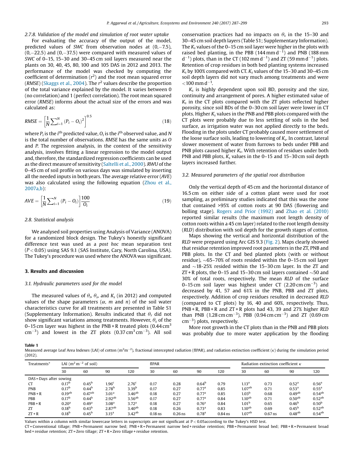<span id="page-7-0"></span>*2.7.8. Validation of the model and simulation of root water uptake*

For evaluating the accuracy of the output of the model, predicted values of *SWC* from observation nodes at  $(0,-7.5)$ ,  $(0,-22.5)$  and  $(0,-37.5)$  were compared with measured values of *SWC* of 0–15, 15–30 and 30–45 cm soil layers measured near the plants on 30, 40, 45, 80, 100 and 105 DAS in 2012 and 2013. The performance of the model was checked by computing the coefficient of determination (*r* 2 ) and the root mean squared error (*RMSE*) ([Skaggs](#page-13-0) et al., 2004). The *r* 2 values describe the proportion of the total variance explained by the model. It varies between 0 (no correlation) and 1 (perfect correlation). The root mean squared error (*RMSE*) informs about the actual size of the errors and was calculated as:

RMSE = 
$$
\left[\frac{1}{N}\sum_{i=1}^{N} (P_i - Q_i)^2\right]^{0.5}
$$
 (18)

where  $P_i$  is the  $i^{\text{th}}$  predicted value,  $O_i$  is the  $i^{\text{th}}$  observed value, and  $N$ is the total number of observations. *RMSE* has the same units as *O* and *P*. The regression analysis, in the context of the sensitivity analysis, involves fitting a linear regression to the model output and, therefore, the standardized regression coefficients can be used as the direct measure of sensitivity ([Saltelli](#page-13-0) et al., 2000). *RWU* of the 0–45 cm of soil profile on various days was simulated by inserting all the needed inputs in both years. The average relative error (*AVE*) was also calculated using the following equation [\(Zhou](#page-13-0) et al., [2007a,b\)](#page-13-0):

$$
AVE = \left[\frac{1}{N}\sum_{i=1}^{N} (P_i - O_i)\right] \frac{100}{O_i}
$$
 (19)

#### *2.8. Statistical analysis*

We analysed soil properties using Analysis of Variance (ANOVA) for a randomized block design. The Tukey's honestly significant difference test was used as a *post hoc* mean separation test (*P* < 0.05) using SAS 9.1 (SAS Institute, Cary, North Carolina, USA). The Tukey's procedure was used where the ANOVA was significant.

### 3. Results and discussion

#### *3.1. Hydraulic parameters used for the model*

The measured values of  $\theta_{\rm r}$ ,  $\theta_{\rm s}$ , and *K*<sub>*s*</sub> (in 2012) and computed values of the shape parameters  $(\alpha, m$  and  $n)$  of the soil water characteristics curve for all treatments are presented in Table S1 (Supplementary Information). Results indicated that  $\theta_r$  did not show significant variations among treatments. However,  $\theta_s$  of the 0–15 cm layer was highest in the PNB + R treated plots  $(0.44 \text{ cm}^3)$  $\text{cm}^{-3}$ ) and lowest in the ZT plots (0.37  $\text{cm}^3 \text{cm}^{-3}$ ). All soil

conservation practices had no impacts on  $\theta_s$  in the 15-30 and 30–45 cm soil depth layers (Table S1; Supplementary Information). The *K<sup>s</sup>* values of the 0–15 cm soil layer were higher in the plots with raised bed planting, in the PBB  $(144 \text{ mm d}^{-1})$  and PNB  $(188 \text{ mm})$  $(d^{-1})$  plots, than in the CT (102 mm  $d^{-1}$ ) and ZT (59 mm  $d^{-1}$ ) plots. Retention of crop residues in both bed planting systems increased  $K_s$  by 100% compared with CT.  $K_s$  values of the 15–30 and 30–45 cm soil depth layers did not vary much among treatments and were  $<$ 100 mm d<sup>-1</sup>.

*Ks* is highly dependent upon soil BD, porosity and the size, continuity and arrangement of pores. A higher estimated value of *Ks* in the CT plots compared with the ZT plots reflected higher porosity, since soil BDs of the 0–30 cm soil layer were lower in CT plots. Higher *K<sup>s</sup>* values in the PNB and PBB plots compared with the CT plots were probably due to less settling of soils in the bed surface, as irrigation water was not applied directly to the beds. Flooding in the plots under CT probably caused more settlement of the loose surface soils, leading to lowering of *K<sup>s</sup>* . In contrast, lateral slower movement of water from furrows to beds under PBB and PNB plots caused higher *K<sup>s</sup>* . With retention of residues under both PNB and PBB plots, *K<sup>s</sup>* values in the 0–15 and 15–30 cm soil depth layers increased further.

#### *3.2. Measured parameters of the spatial root distribution*

Only the vertical depth of 45 cm and the horizontal distance of 16.5 cm on either side of a cotton plant were used for root sampling, as preliminary studies indicated that this was the zone that contained >95% of cotton roots at 90 DAS (flowering and bolling stage). [Rogers](#page-13-0) and Prior (1992) and Zhao et al. [\(2010\)](#page-13-0) reported similar results (the maximum root length density of cotton roots within a 45 cm layer) related to the root length density (*RLD*) distribution with soil depth for the growth stages of cotton.

Maps showing the vertical and horizontal distribution of the *RLD* were prepared using Arc GIS 9.3 [\(Fig.](#page-4-0) 2). Maps clearly showed that residue retention improved root parameters in the ZT, PNB and PBB plots. In the CT and bed planted plots (with or without residue),  $\sim$  65–70% of roots resided within the 0–15 cm soil layer and  $\sim$ 18-25% resided within the 15–30 cm layer. In the ZT and ZT + R plots, the 0–15 and 15–30 cm soil layers contained  $\sim$  50 and 30% of total roots, respectively. The mean *RLD* of the surface 0–15 cm soil layer was highest under CT  $(2.20 \text{ cm cm}^{-3})$  and decreased by 41, 57 and 61% in the PNB, PBB and ZT plots, respectively. Addition of crop residues resulted in decreased *RLD* (compared to CT plots) by 16, 40 and 60%, respectively. Thus, PNB + R, PBB + R and ZT + R plots had 43, 39 and 27% higher *RLD* than PNB (1.28 cm cm<sup>-3</sup>), PBB (0.94 cm cm<sup>-3</sup>) and ZT (0.69 cm  $cm^{-3}$ ) plots, respectively.

More root growth in the CT plots than in the PNB and PBB plots was probably due to more water application by the flooding

Table 1

Measured average Leaf Area Indexes (LAI) of cotton (m<sup>2</sup>m<sup>-2</sup>), fractional intercepted radiation (fIPAR), and radiation extinction coefficient (*k*) during the simulation period (2012).

| Treatments*             | LAI $(m^2m^{-2}$ of soil) |                    |                    |                    | fIPAR     |           |                   |           | Radiation extinction coefficient $\kappa$ |           |                    |                   |
|-------------------------|---------------------------|--------------------|--------------------|--------------------|-----------|-----------|-------------------|-----------|-------------------------------------------|-----------|--------------------|-------------------|
|                         | 30                        | 60                 | 90                 | 120                | 30        | 60        | 90                | 120       | 30                                        | 60        | 90                 | 120               |
| DAS = Days after sowing |                           |                    |                    |                    |           |           |                   |           |                                           |           |                    |                   |
| CT                      | 0.17 <sup>b</sup>         | 0.45 <sup>b</sup>  | 1.96 <sup>c</sup>  | 2.76 <sup>c</sup>  | 0.17      | 0.28      | 0.64 <sup>b</sup> | 0.79      | 1.13 <sup>a</sup>                         | 0.73      | 0.52 <sup>a</sup>  | 0.56 <sup>a</sup> |
| <b>PNB</b>              | 0.17 <sup>b</sup>         | 0.44 <sup>b</sup>  | 2.78 <sup>b</sup>  | 3.39 <sup>b</sup>  | 0.17      | 0.27      | 0.77 <sup>a</sup> | 0.85      | 1.07 <sup>ab</sup>                        | 0.71      | 0.53 <sup>a</sup>  | $0.55^{\rm a}$    |
| $PNB + R$               | 0.19 <sup>ab</sup>        | 0.47 <sup>ab</sup> | 3.01 <sup>a</sup>  | 3.46 <sup>ab</sup> | 0.18      | 0.27      | 0.77 <sup>a</sup> | 0.85      | 1.03 <sup>b</sup>                         | 0.68      | 0.49 <sup>ab</sup> | $0.54^{ab}$       |
| PBB                     | 0.17 <sup>b</sup>         | $0.44^{b}$         | 2.92 <sup>ab</sup> | $3.56^{ab}$        | 0.17      | 0.27      | 0.77 <sup>a</sup> | 0.84      | $1.10^{ab}$                               | 0.71      | 0.50 <sup>ab</sup> | $0.52^{ab}$       |
| $PBB + R$               | 0.20 <sup>a</sup>         | 0.49 <sup>a</sup>  | 3.08 <sup>a</sup>  | 3.72 <sup>a</sup>  | 0.18      | 0.27      | 0.76 <sup>a</sup> | 0.84      | 1.01 <sup>b</sup>                         | 0.65      | 0.46 <sup>b</sup>  | 0.50 <sup>b</sup> |
| ZT                      | 0.18 <sup>b</sup>         | $0.43^{b}$         | $2.87^{ab}$        | $3.40^{ab}$        | 0.18      | 0.26      | 0.73 <sup>a</sup> | 0.83      | $1.10^{ab}$                               | 0.69      | $0.45^{\rm b}$     | $0.52^{ab}$       |
| $ZT + R$                | 0.18 <sup>b</sup>         | 0.45 <sup>b</sup>  | 3.15 <sup>a</sup>  | 3.42 <sup>ab</sup> | $0.18$ ns | $0.26$ ns | 0.78 <sup>a</sup> | $0.84$ ns | 1.07 <sup>ab</sup>                        | $0.67$ ns | 0.48 <sup>ab</sup> | $0.54^{ab}$       |

Values within a column with similar lowercase letters in superscripts are not significant at  $P < 0.05$  according to the Tukey's HSD test.

CT = Conventional tillage; PNB = Permanent narrow bed; PNB + R = Permanent narrow bed + residue retention; PBB = Permanent broad bed; PBB + R = Permanent broad bed + residue retention; ZT = Zero tillage; ZT + R = Zero tillage + residue retention.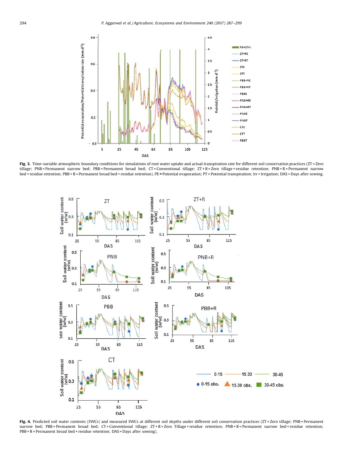<span id="page-8-0"></span>

Fig. 3. Time-variable atmospheric boundary conditions for simulations of root water uptake and actual transpiration rate for different soil conservation practices (ZT = Zero tillage; PNB = Permanent narrow bed; PBB = Permanent broad bed; CT = Conventional tillage; ZT + R = Zero tillage + residue retention; PNB + R = Permanent narrow bed + residue retention; PBB + R = Permanent broad bed + residue retention). PE = Potential evaporation; PT = Potential transpiration; Irr = Irrigation; DAS = Days after sowing.



Fig. 4. Predicted soil water contents (SWCs) and measured SWCs at different soil depths under different soil conservation practices (ZT = Zero tillage; PNB = Permanent narrow bed; PBB = Permanent broad bed; CT = Conventional tillage; ZT + R = Zero Tillage + residue retention; PNB + R = Permanent narrow bed + residue retention; PBB + R = Permanent broad bed + residue retention; DAS = Days after sowing).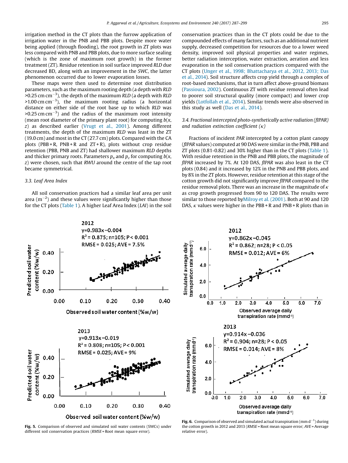<span id="page-9-0"></span>irrigation method in the CT plots than the furrow application of irrigation water in the PNB and PBB plots. Despite more water being applied (through flooding), the root growth in ZT plots was less compared with PNB and PBB plots, due to more surface sealing (which is the zone of maximum root growth) in the former treatment (ZT). Residue retention in soil surface improved *RLD* due decreased BD, along with an improvement in the *SWC*, the latter phenomenon occurred due to lower evaporation losses.

These maps were then used to determine root distribution parameters, such as the maximum rooting depth (a depth with *RLD >*0.25 cm cm<sup>3</sup> ), the depth of the maximum *RLD* (a depth with *RLD*  $>$ 1.00 cm cm<sup>-3</sup>), the maximum rooting radius (a horizontal distance on either side of the root base up to which *RLD* was  $>$ 0.25 cm cm<sup>-3</sup>) and the radius of the maximum root intensity (mean root diameter of the primary plant root) for computing *b*(*x*, *z*) as described earlier ([Vrugt](#page-13-0) et al., 2001). Among different treatments, the depth of the maximum *RLD* was least in the ZT (19.0 cm) and most in the CT (27.7 cm) plots. Compared with the CA plots (PBB + R, PNB + R and  $ZT + R$ ), plots without crop residue retention (PBB, PNB and ZT) had shallower maximum *RLD* depths and thicker primary roots. Parameters *p<sup>x</sup>* and *p<sup>z</sup>* for computing *b*(*x*, *z*) were chosen, such that *RWU* around the centre of the tap root became symmetrical.

#### *3.3. Leaf Area Index*

All soil conservation practices had a similar leaf area per unit area (m $^{-2}$ ) and these values were significantly higher than those for the CT plots [\(Table](#page-7-0) 1). A higher Leaf Area Index (*LAI*) in the soil conservation practices than in the CT plots could be due to the compounded effects of many factors, such as an additional nutrient supply, decreased competition for resources due to a lower weed density, improved soil physical properties and water regimes, better radiation interception, water extraction, aeration and less evaporation in the soil conservation practices compared with the CT plots (Unger et al., 1998; [Bhattacharya](#page-13-0) et al., 2012, 2013; Das et al., [2014\)](#page-13-0). Soil structure affects crop yield through a complex of root-based mechanisms, that in turn affect above-ground biomass ([Passioura,](#page-13-0) 2002). Continuous ZT with residue removal often lead to poorer soil structural quality (more compact) and lower crop yields [\(Lotfollah](#page-13-0) et al., 2014). Similar trends were also observed in this study as well (Das et al., [2014](#page-13-0)).

### *3.4. Fractional intercepted photo-synthetically active radiation (fIPAR) and radiation extinction coefficient*  $(k)$

Fractions of incident *PAR* intercepted by a cotton plant canopy (*fIPAR* values) computed at 90 DAS were similar in the PNB, PBB and ZT plots (0.81-0.82) and 30% higher than in the CT plots [\(Table](#page-7-0) 1). With residue retention in the PNB and PBB plots, the magnitude of *fIPAR* increased by 7%. At 120 DAS, *fIPAR* was also least in the CT plots (0.84) and it increased by 12% in the PNB and PBB plots, and by 8% in the ZT plots. However, residue retention at this stage of the cotton growth did not significantly improve *fIPAR* compared to the residue removal plots. There was an increase in the magnitude of  $\kappa$ as crop growth progressed from 90 to 120 DAS. The results were similar to those reported b[yMilroy](#page-13-0) et al. (2001). Both at 90 and 120 DAS,  $\kappa$  values were higher in the PBB + R and PNB + R plots than in



Fig. 5. Comparison of observed and simulated soil water contents (SWCs) under different soil conservation practices (*RMSE* = Root mean square error).



Fig. 6. Comparison of observed and simulated actual transpiration (mm  $d^{-1}$ ) during the cotton growth in 2012 and 2013 (*RMSE* = Root mean square error; *AVE* = Average relative error).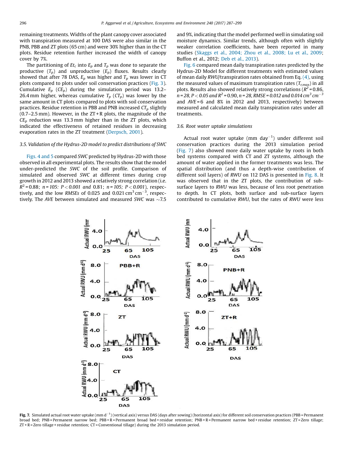remaining treatments. Widths of the plant canopy cover associated with transpiration measured at 100 DAS were also similar in the PNB, PBB and ZT plots (65 cm) and were 30% higher than in the CT plots. Residue retention further increased the width of canopy cover by 7%.

The partitioning of  $E t_c$  into  $E_p$  and  $T_p$  was done to separate the productive  $(T_p)$  and unproductive  $(E_p)$  fluxes. Results clearly showed that after 78 DAS,  $E_p$  was higher and  $T_p$  was lower in CT plots compared to plots under soil conservation practices [\(Fig.](#page-8-0) 3). Cumulative  $E_p$  ( $CE_p$ ) during the simulation period was 13.2– 26.4 mm higher, whereas cumulative  $T_p$  ( $CT_p$ ) was lower by the same amount in CT plots compared to plots with soil conservation practices. Residue retention in PBB and PNB increased *CT<sup>p</sup>* slightly  $(0.7–2.5 \text{ mm})$ . However, in the  $ZT + R$  plots, the magnitude of the  $CE_p$  reduction was 13.3 mm higher than in the ZT plots, which indicated the effectiveness of retained residues in decreasing evaporation rates in the ZT treatment [\(Derpsch,](#page-13-0) 2001).

#### *3.5. Validation of the Hydrus-2D model to predict distributions of SWC*

[Figs.](#page-8-0) 4 and 5 compared *SWC* predicted by Hydrus-2D with those observed in all experimental plots. The results show that the model under-predicted the *SWC* of the soil profile. Comparison of simulated and observed *SWC* at different times during crop growth in 2012 and 2013 showed a relatively strong correlation (i.e. *R* 2 *=* 0.88; *n = 105: P* < *0.001 and* 0.81; *n = 105; P* < *0.001*), respectively, and the low RMSEs of  $0.025$  and  $0.021$   $\text{cm}^3 \text{ cm}^{-3}$ , respectively. The *AVE* between simulated and measured *SWC* was  $\sim$ 7.5 and 9%, indicating that the model performed well in simulating soil moisture dynamics. Similar trends, although often with slightly weaker correlation coefficients, have been reported in many studies ([Skaggs](#page-13-0) et al., 2004; Zhou et al., 2008; Lu et al., 2009; Buffon et al., 2012; Deb et al., [2013](#page-13-0)).

[Fig.](#page-9-0) 6 compared mean daily transpiration rates predicted by the Hydrus-2D Model for different treatments with estimated values of mean daily *RWU/*transpiration rates obtained from Eq. [\(4\)](#page-5-0), using the measured values of maximum transpiration rates  $(T_{rmax})$  in all plots. Results also showed relatively strong correlations (*R 2 =* 0.86, *n = 28, P* < *0.05 and R 2 =* 0.90, *n = 28, RMSE = 0.012 and 0.014 cm<sup>3</sup> cm<sup>3</sup>* and *AVE* = 6 and 8% in 2012 and 2013, respectively) between measured and calculated mean daily transpiration rates under all treatments.

#### *3.6. Root water uptake simulations*

Actual root water uptake  $(nm \; day^{-1})$  under different soil conservation practices during the 2013 simulation period (Fig. 7) also showed more daily water uptake by roots in both bed systems compared with CT and ZT systems, although the amount of water applied in the former treatments was less. The spatial distribution (and thus a depth-wise contribution of different soil layers) of *RWU* on 112 DAS is presented in [Fig.](#page-11-0) 8. It was observed that in the ZT plots, the contribution of subsurface layers to *RWU* was less, because of less root penetration to depth. In CT plots, both surface and sub-surface layers contributed to cumulative *RWU*, but the rates of *RWU* were less



Fig. 7. Simulated actual root water uptake (mm d<sup>-1</sup>) (vertical axis) versus DAS (days after sowing) (horizontal axis) for different soil conservation practices (PBB = Permanent broad bed; PNB = Permanent narrow bed; PBB + R = Permanent broad bed + residue retention; PNB + R = Permanent narrow bed + residue retention; ZT = Zero tillage;  $ZT + R = Zero$  tillage + residue retention;  $CT =$  Conventional tillage) during the 2013 simulation period.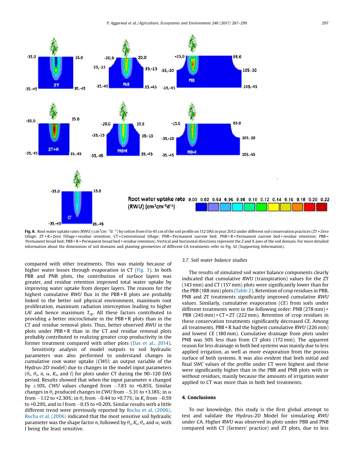<span id="page-11-0"></span>

**Fig. 8.** Root water uptake rates (RWU) (cm $^3$ cm $^{-3}$ d $^{-1}$ ) by cotton from 0 to 45 cm of the soil profile on 112 DAS in year 2012 under different soil conservation practices (ZT = Zero tillage; ZT+R=Zero Tillage+residue retention; CT=Conventional tillage; PNB=Permanent narrow bed; PNB+R=Permanent narrow bed+residue retention; PBB= Permanent broad bed; PBB + R = Permanent broad bed + residue retention). Vertical and horizontal directions represent the *Z* and X axes of the soil domain. For more detailed information about the dimensions of soil domains and planting geometries of different CA treatments refer to Fig. S2 (Supporting Information).

compared with other treatments. This was mainly because of higher water losses through evaporation in CT [\(Fig.](#page-8-0) 3). In both PBB and PNB plots, the contribution of surface layers was greater, and residue retention improved total water uptake by improving water uptake from deeper layers. The reasons for the highest cumulative *RWU* flux in the PBB + R plots are probably linked to the better soil physical environment, maximum root proliferation, maximum radiation interception leading to higher *LAI* and hence maximum  $T_{rp}$ . All these factors contributed to providing a better microclimate in the PBB + R plots than in the CT and residue removal plots. Thus, better observed *RWU* in the plots under PBB + R than in the CT and residue removal plots probably contributed to realizing greater crop productivity in the former treatment compared with other plots (Das et al., [2014](#page-13-0)).

Sensitivity analysis of model outputs to soil hydraulic parameters was also performed to understand changes in cumulative root water uptake (*CWU*; an output variable of the Hydrus-2D model) due to changes in the model input parameters  $(\theta_r, \theta_s, n, \alpha, K_s,$  and *l*) for plots under CT during the 90–120 DAS period. Results showed that when the input parameter *n* changed by  $\pm 10$ %, *CWU* values changed from  $-7.83$  to  $+6.85$ %. Similar changes in  $\theta_s$  produced changes in *CWU* from  $-5.31$  to +3.18%; in  $\alpha$ from  $-1.12$  to +2.30%; in  $\theta_r$  from  $-0.44$  to +0.77%; in  $K_s$  from  $-0.59$ to  $+0.29$ %, and in *l* from  $-0.15$  to  $+0.20$ %. Similar results with a little different trend were previously reported by Rocha et al. [\(2006\)](#page-13-0). Rocha et al. [\(2006\)](#page-13-0) indicated that the most sensitive soil hydraulic parameter was the shape factor  $n$ , followed by  $\theta_{\rm s}$ ,  $K_{\rm s}$ ,  $\theta_{\rm r}$  and  $\alpha$ , with *l* being the least sensitive.

#### *3.7. Soil water balance studies*

The results of simulated soil water balance components clearly indicated that cumulative *RWU* (transpiration) values for the ZT (143 mm) and CT (157 mm) plots were significantly lower than for the PBB (188 mm) plots ([Table](#page-12-0) 2). Retention of crop residues in PBB, PNB and ZT treatments significantly improved cumulative *RWU* values. Similarly, cumulative evaporation (*CE*) from soils under different treatments were in the following order: PNB (278 mm) > PBB (245 mm) > CT = ZT (222 mm). Retention of crop residues in these conservation treatments significantly decreased *CE*. Among all treatments, PBB + R had the highest cumulative *RWU* (226 mm) and lowest *CE* (180 mm). Cumulative drainage from plots under PNB was 50% less than from CT plots (172 mm). The apparent reason for less drainage in both bed systems was mainly due to less applied irrigation, as well as more evaporation from the porous surface of both systems. It was also evident that both initial and final *SWC* values of the profile under CT were highest and these were significantly higher than in the PBB and PNB plots with or without residues, mainly because the amounts of irrigation water applied to CT was more than in both bed treatments.

#### 4. Conclusions

To our knowledge, this study is the first global attempt to test and validate the Hydrus-2D Model for simulating *RWU* under CA. Higher *RWU* was observed in plots under PBB and PNB compared with CT (farmers' practice) and ZT plots, due to less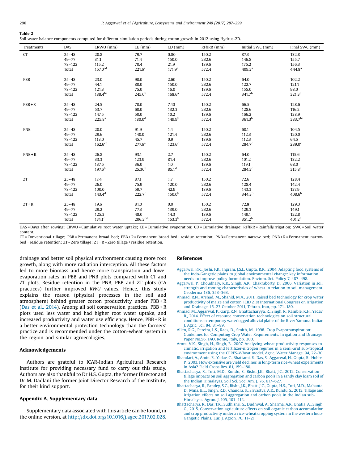<span id="page-12-0"></span>

|--|--|

Soil water balance components computed for different simulation periods during cotton growth in 2012 using Hydrus-2D.

| Treatments | DAS        | CRWU (mm)                | $CE$ (mm)           | $CD$ (mm)           | $RF/IRR$ (mm) | Initial SWC (mm)            | Final SWC (mm)              |
|------------|------------|--------------------------|---------------------|---------------------|---------------|-----------------------------|-----------------------------|
| CT         | $25 - 48$  | 20.8                     | 79.7                | 0.00                | 150.2         | 87.3                        | 132.8                       |
|            | $49 - 77$  | 31.1                     | 71.4                | 150.0               | 232.6         | 146.8                       | 155.7                       |
|            | $78 - 122$ | 115.2                    | 70.4                | 21.9                | 189.6         | 175.2                       | 156.3                       |
|            | Total      | 157.0 <sup>cd</sup>      | 221.6 <sup>c</sup>  | 171.9 <sup>a</sup>  | 572.4         | 409.3 <sup>a</sup>          | 444.8 <sup>a</sup>          |
| PBB        | $25 - 48$  | 23.0                     | 90.0                | 2.60                | 150.2         | 64.0                        | 102.2                       |
|            | $49 - 77$  | 44.1                     | 80.0                | 150.0               | 232.6         | 122.7                       | 121.1                       |
|            | $78 - 122$ | 121.3                    | 75.0                | 16.0                | 189.6         | 155.0                       | 98.0                        |
|            | Total      | $188.4^{bc}$             | $245.0^{b}$         | 168.6 <sup>a</sup>  | 572.4         | 341.7 <sup>b</sup>          | 321.3 <sup>c</sup>          |
| $PBB + R$  | $25 - 48$  | 24.5                     | 70.0                | 7.40                | 150.2         | 66.5                        | 128.6                       |
|            | $49 - 77$  | 53.7                     | 60.0                | 132.3               | 232.6         | 128.6                       | 116.2                       |
|            | $78 - 122$ | 147.5                    | 50.0                | 10.2                | 189.6         | 166.2                       | 138.9                       |
|            | Total      | 225.8 <sup>a</sup>       | 180.0 <sup>d</sup>  | $149.9^{b}$         | 572.4         | 361.3 <sup>b</sup>          | 383.7bc                     |
|            |            |                          |                     |                     |               |                             |                             |
| <b>PNB</b> | $25 - 48$  | 20.0                     | 91.9                | 1.4                 | 150.2         | 60.1                        | 104.5                       |
|            | $49 - 77$  | 29.6                     | 140.0               | 121.4               | 232.6         | 112.3                       | 120.0                       |
|            | $78 - 122$ | 113.0                    | 45.7                | 0.9                 | 189.6         | 112.3                       | 64.5                        |
|            | Total      | 162.6 <sup>cd</sup>      | 277.6 <sup>a</sup>  | 123.6 <sup>c</sup>  | 572.4         | $284.7^c$                   | $289.0$ <sup>c</sup>        |
| $PNB + R$  | $25 - 48$  | 26.8                     | 93.1                | 2.7                 | 150.2         | 64.0                        | 115.6                       |
|            | $49 - 77$  | 33.3                     | 123.9               | 81.4                | 232.6         | 101.2                       | 132.2                       |
|            | $78 - 122$ | 137.5                    | 36.0                | 1.0                 | 189.6         | 119.1                       | 68.0                        |
|            | Total      | 197.6 <sup>b</sup>       | 25.30 <sup>b</sup>  | 85.1 <sup>d</sup>   | 572.4         | 284.3 <sup>c</sup>          | 315.8 <sup>c</sup>          |
| ZT         | $25 - 48$  | 17.4                     | 87.1                | 1.7                 | 150.2         | 72.6                        | 128.4                       |
|            | $49 - 77$  | 26.0                     | 75.9                | 120.0               | 232.6         | 128.4                       | 142.4                       |
|            | $78 - 122$ | 100.0                    | 59.7                | 42.9                | 189.6         | 143.3                       | 137.9                       |
|            | Total      | $143.4^d$                | 222.7 <sup>c</sup>  | 150.0 <sup>b</sup>  | 572.4         | 344.3 <sup>b</sup>          | 408.6 <sup>b</sup>          |
| $ZT + R$   | $25 - 48$  | 19.6                     | 81.0                | 0.0                 | 150.2         | 72.8                        | 129.3                       |
|            | $49 - 77$  | 29.2                     | 77.3                | 139.0               | 232.6         | 129.3                       | 149.1                       |
|            |            |                          | 48.0                |                     |               |                             |                             |
|            | $78 - 122$ | 125.3<br>$174.1^{\circ}$ | 206.3 <sup>cd</sup> | 14.3<br>$153.3^{b}$ | 189.6         | 149.1<br>351.2 <sup>b</sup> | 122.8<br>401.2 <sup>b</sup> |
|            | Total      |                          |                     |                     | 572.4         |                             |                             |

DAS = Days after sowing; CRWU = Cumulative root water uptake; CE = Cumulative evaporation; CD = Cumulative drainage; RF/IRR = Rainfall/Irrigation; SWC = Soil water content.

CT = Conventional tillage; PBB = Permanent broad bed; PBB + R = Permanent broad bed + residue retention; PNB = Permanent narrow bed; PNB + R = Permanent narrow bed + residue retention; ZT = Zero tillage; ZT + R = Zero tillage + residue retention.

drainage and better soil physical environment causing more root growth, along with more radiation interception. All these factors led to more biomass and hence more transpiration and lower evaporation rates in PBB and PNB plots compared with CT and ZT plots. Residue retention in the PNB, PBB and ZT plots (CA practices) further improved *RWU* values. Hence, this study explains the reason (physical processes in the soil and atmosphere) behind greater cotton productivity under PBB + R (Das et al., [2014](#page-13-0)). Among all soil conservation practices, PBB + R plots used less water and had higher root water uptake, and increased productivity and water use efficiency. Hence, PBB + R is a better environmental protection technology than the farmers' practice and is recommended under the cotton-wheat system in the region and similar agroecologies.

#### Acknowledgements

Authors are grateful to ICAR-Indian Agricultural Research Institute for providing necessary fund to carry out this study. Authors are also thankful to Dr H.S. Gupta, the former Director and Dr M. Dadlani the former Joint Director Research of the Institute, for their kind support.

### Appendix A. Supplementary data

Supplementary data associated with this article can be found, in the online version, at [http://dx.doi.org/10.1016/j.agee.2017.02.028.](http://dx.doi.org/10.1016/j.agee.2017.02.028)

#### References

- [Aggarwal,](http://refhub.elsevier.com/S0167-8809(17)30091-9/sbref0005) P.K., Joshi, P.K., Ingram, J.S.I., Gupta, R.K., 2004. Adapting food systems of the Indo-Gangetic plains to global [environmental](http://refhub.elsevier.com/S0167-8809(17)30091-9/sbref0005) change: key information needs to improve policy [formulation.](http://refhub.elsevier.com/S0167-8809(17)30091-9/sbref0005) Environ. Sci. Policy 7, 487–498.
- Aggarwal, P., Choudhary, K.K., Singh, A.K., [Chakraborty,](http://refhub.elsevier.com/S0167-8809(17)30091-9/sbref0010) D., 2006. Variation in soil strength and rooting [characteristics](http://refhub.elsevier.com/S0167-8809(17)30091-9/sbref0010) of wheat in relation to soil management. [Geoderma](http://refhub.elsevier.com/S0167-8809(17)30091-9/sbref0010) 136, 353–363.
- Ahmad, R.N., Arshad, M., Shahid, M.A., 2011. Raised bed [technology](http://refhub.elsevier.com/S0167-8809(17)30091-9/sbref0015) for crop water productivity of maize and cotton. ICID 21st [International](http://refhub.elsevier.com/S0167-8809(17)30091-9/sbref0015) Congress on Irrigation and [Drainage,](http://refhub.elsevier.com/S0167-8809(17)30091-9/sbref0015) 15–23 October 2011, Tehran, Iran, pp. 171–180.
- Ahmad, M., Aggarwal, P., Garg, R.N., [Bhattacharyya,](http://refhub.elsevier.com/S0167-8809(17)30091-9/sbref0020) R., Singh, R., Kamble, K.H., Yadav, B., 2014. Effect of resource [conservation](http://refhub.elsevier.com/S0167-8809(17)30091-9/sbref0020) technologies on soil structural conditions in temporary [waterlogged](http://refhub.elsevier.com/S0167-8809(17)30091-9/sbref0020) alluvial plains of the River Yamuna. Indian J. [Agric.](http://refhub.elsevier.com/S0167-8809(17)30091-9/sbref0020) Sci. 84, 81–89.
- Allen, R.G., Pereira, L.S., Raes, D., Smith, M., 1998. Crop [Evapotranspiration:](http://refhub.elsevier.com/S0167-8809(17)30091-9/sbref0025) Guidelines for Computing Crop Water [Requirements.](http://refhub.elsevier.com/S0167-8809(17)30091-9/sbref0025) Irrigation and Drainage Paper [No.56.](http://refhub.elsevier.com/S0167-8809(17)30091-9/sbref0025) FAO, Rome, Italy, pp. 300.
- Arora, V.K., Singh, H., Singh, B., 2007. Analyzing wheat [productivity](http://refhub.elsevier.com/S0167-8809(17)30091-9/sbref0030) responses to climatic, irrigation and [fertilizer-nitrogen](http://refhub.elsevier.com/S0167-8809(17)30091-9/sbref0030) regimes in a semi-arid sub-tropical environment using the [CERES-Wheat](http://refhub.elsevier.com/S0167-8809(17)30091-9/sbref0030) model. Agric. Water Manage. 94, 22–30.
- Bhandari, A., Amin, R., Yadav, C., Bhattarai, E., Das, S., [Aggarwal,](http://refhub.elsevier.com/S0167-8809(17)30091-9/sbref0035) H., Gupta, R., Hobbs, P., 2003. How extensive are yield declines in long-term rice-wheat [experiments](http://refhub.elsevier.com/S0167-8809(17)30091-9/sbref0035) in Asia? Field [Crops](http://refhub.elsevier.com/S0167-8809(17)30091-9/sbref0035) Res. 81, 159–180.
- [Bhattacharya,](http://refhub.elsevier.com/S0167-8809(17)30091-9/sbref0040) R., Tuti, M.D., Kundu, S., Bisht, J.K., Bhatt, J.C., 2012. Conservation tillage impacts on soil [aggregation](http://refhub.elsevier.com/S0167-8809(17)30091-9/sbref0040) and carbon pools in a sandy clay loam soil of the Indian [Himalayas.](http://refhub.elsevier.com/S0167-8809(17)30091-9/sbref0040) Soil Sci. Soc. Am. J. 76, 617–627.
- [Bhattacharya,](http://refhub.elsevier.com/S0167-8809(17)30091-9/sbref0045) R., Pandey, S.C., Bisht, J.K., Bhatt, J.C., Gupta, H.S., Tuti, M.D., Mahanta, D., Mina, B.L., Singh, R.D., Chandra, S., [Srivastva,](http://refhub.elsevier.com/S0167-8809(17)30091-9/sbref0045) A.K., Kundu, S., 2013. Tillage and irrigation effects on soil [aggregation](http://refhub.elsevier.com/S0167-8809(17)30091-9/sbref0045) and carbon pools in the Indian sub-[Himalayas.](http://refhub.elsevier.com/S0167-8809(17)30091-9/sbref0045) Agron. J. 105, 101–112.
- [Bhattacharya,](http://refhub.elsevier.com/S0167-8809(17)30091-9/sbref0050) R., Das, T.K., Sudhishri, S., Dudhwal, A., Sharma, A.R., Bhatia, A., Singh, G., 2015. Conservation agriculture effects on soil organic carbon [accumulation](http://refhub.elsevier.com/S0167-8809(17)30091-9/sbref0050) and crop [productivity](http://refhub.elsevier.com/S0167-8809(17)30091-9/sbref0050) under a rice-wheat cropping system in the western Indo-[Gangetic](http://refhub.elsevier.com/S0167-8809(17)30091-9/sbref0050) Plains. Eur. J. Agron. 70, 11–21.